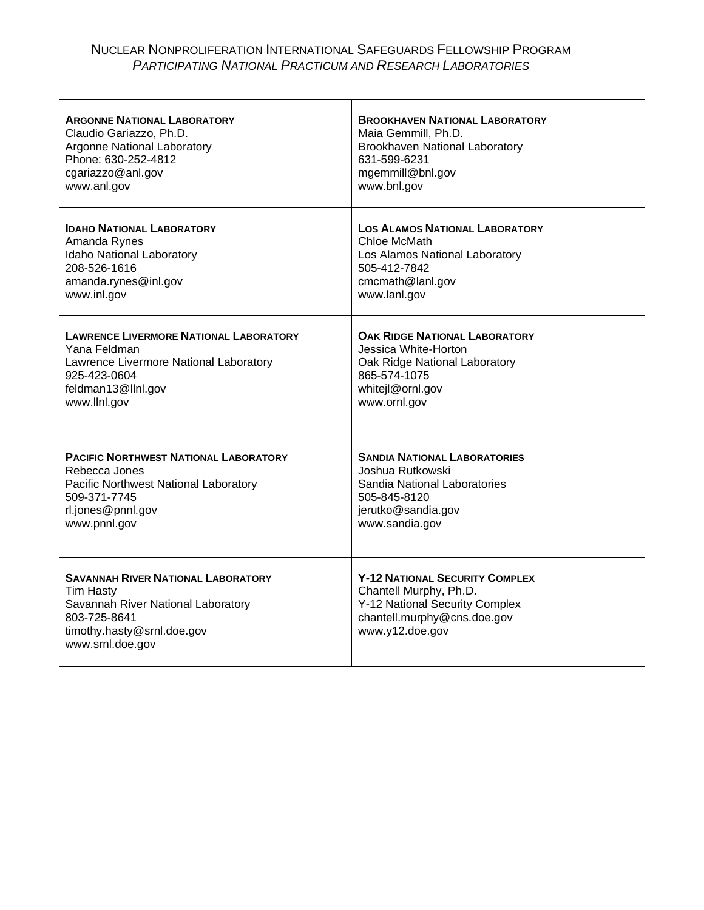## NUCLEAR NONPROLIFERATION INTERNATIONAL SAFEGUARDS FELLOWSHIP PROGRAM *PARTICIPATING NATIONAL PRACTICUM AND RESEARCH LABORATORIES*

| <b>ARGONNE NATIONAL LABORATORY</b>                                                                                                                                    | <b>BROOKHAVEN NATIONAL LABORATORY</b>                                                                                                               |
|-----------------------------------------------------------------------------------------------------------------------------------------------------------------------|-----------------------------------------------------------------------------------------------------------------------------------------------------|
| Claudio Gariazzo, Ph.D.                                                                                                                                               | Maia Gemmill, Ph.D.                                                                                                                                 |
| Argonne National Laboratory                                                                                                                                           | Brookhaven National Laboratory                                                                                                                      |
| Phone: 630-252-4812                                                                                                                                                   | 631-599-6231                                                                                                                                        |
| cgariazzo@anl.gov                                                                                                                                                     | mgemmill@bnl.gov                                                                                                                                    |
| www.anl.gov                                                                                                                                                           | www.bnl.gov                                                                                                                                         |
| <b>IDAHO NATIONAL LABORATORY</b>                                                                                                                                      | <b>LOS ALAMOS NATIONAL LABORATORY</b>                                                                                                               |
| Amanda Rynes                                                                                                                                                          | Chloe McMath                                                                                                                                        |
| Idaho National Laboratory                                                                                                                                             | Los Alamos National Laboratory                                                                                                                      |
| 208-526-1616                                                                                                                                                          | 505-412-7842                                                                                                                                        |
| amanda.rynes@inl.gov                                                                                                                                                  | cmcmath@lanl.gov                                                                                                                                    |
| www.inl.gov                                                                                                                                                           | www.lanl.gov                                                                                                                                        |
| <b>LAWRENCE LIVERMORE NATIONAL LABORATORY</b>                                                                                                                         | <b>OAK RIDGE NATIONAL LABORATORY</b>                                                                                                                |
| Yana Feldman                                                                                                                                                          | Jessica White-Horton                                                                                                                                |
| Lawrence Livermore National Laboratory                                                                                                                                | Oak Ridge National Laboratory                                                                                                                       |
| 925-423-0604                                                                                                                                                          | 865-574-1075                                                                                                                                        |
| feldman13@llnl.gov                                                                                                                                                    | whitejl@ornl.gov                                                                                                                                    |
| www.llnl.gov                                                                                                                                                          | www.ornl.gov                                                                                                                                        |
| <b>PACIFIC NORTHWEST NATIONAL LABORATORY</b>                                                                                                                          | <b>SANDIA NATIONAL LABORATORIES</b>                                                                                                                 |
| Rebecca Jones                                                                                                                                                         | Joshua Rutkowski                                                                                                                                    |
| Pacific Northwest National Laboratory                                                                                                                                 | Sandia National Laboratories                                                                                                                        |
| 509-371-7745                                                                                                                                                          | 505-845-8120                                                                                                                                        |
| rl.jones@pnnl.gov                                                                                                                                                     | jerutko@sandia.gov                                                                                                                                  |
| www.pnnl.gov                                                                                                                                                          | www.sandia.gov                                                                                                                                      |
| <b>SAVANNAH RIVER NATIONAL LABORATORY</b><br><b>Tim Hasty</b><br>Savannah River National Laboratory<br>803-725-8641<br>timothy.hasty@srnl.doe.gov<br>www.srnl.doe.gov | <b>Y-12 NATIONAL SECURITY COMPLEX</b><br>Chantell Murphy, Ph.D.<br>Y-12 National Security Complex<br>chantell.murphy@cns.doe.gov<br>www.y12.doe.gov |